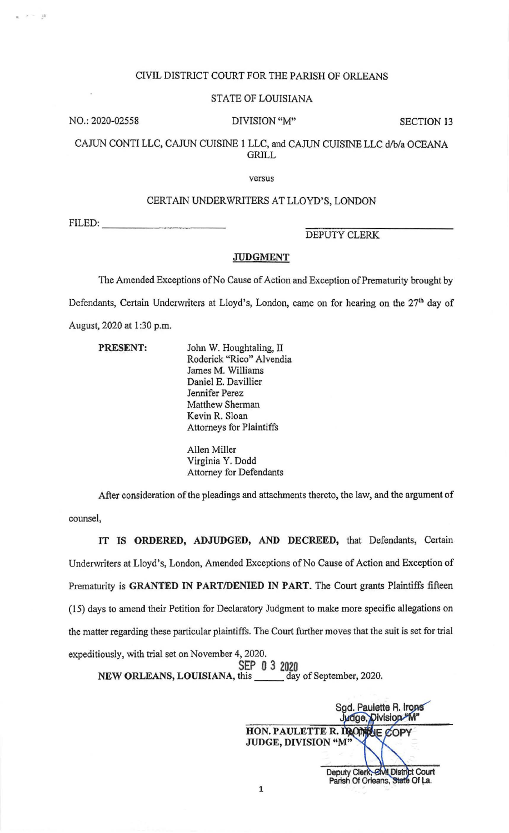## CIVIL DISTRICT COURT FOR THE PARISH OF ORLEANS

#### STATE OF LOUISIANA

NO.: 2020-02558 DIVISION "M" SECTION 13

 $\epsilon=-12$ 

CAJUN CONTI LLC, CAJUN CUISINE 1 LLC, and CAJUN CUISINE LLC d/b/a OCEANA GRILL

versus

### CERTAIN UNDER WRJTERS AT LLOYD'S, LONDON

ERTAIN UNDER

DEPUTY CLERK

## JUDGMENT

The Amended Exceptions of No Cause of Action and Exception of Prematurity brought by Defendants, Certain Underwriters at Lloyd's, London, came on for hearing on the 27<sup>th</sup> day of August, 2020 at 1:30 p.m.

| PRESENT: | John W. Houghtaling, II  |
|----------|--------------------------|
|          | Roderick "Rico" Alvendia |
|          | James M. Williams        |
|          | Daniel E. Davillier      |
|          | Jennifer Perez           |
|          | Matthew Sherman          |
|          | Kevin R. Sloan           |
|          | Attorneys for Plaintiffs |
|          | 111111                   |

Allen Miller Virginia Y. Dodd Attorney for Defendants

After consideration of the pleadings and attachments thereto, the law, and the argument of counsel,

IT IS ORDERED, ADJUDGED, AND DECREED, that Defendants, Certain Underwriters at Lloyd's, London, Amended Exceptions of No Cause of Action and Exception of Prematurity is GRANTED IN PART/DENIED IN PART. The Court grants Plaintiffs fifteen (15) days to amend their Petition for Declaratory Judgment to make more specific allegations on the matter regarding these particular plaintiffs. The Court further moves that the suit is set for trial expeditiously, with trial set on November 4, 2020.

SEP 0 3 2020 NEW ORLEANS, LOUISIANA, this day of September, 2020.

Sgd. Paulette R. Irons Judge, Division M' HON. PAULETTE R. IRONINE COF JUDGE, DIVISION "M" Deputy Clerk, Civil District Court<br>Parish Of Orleans, State Of La.